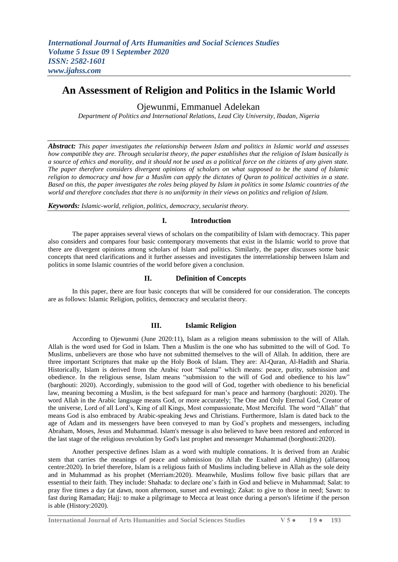# **An Assessment of Religion and Politics in the Islamic World**

## Ojewunmi, Emmanuel Adelekan

*Department of Politics and International Relations, Lead City University, Ibadan, Nigeria*

*Abstract: This paper investigates the relationship between Islam and politics in Islamic world and assesses how compatible they are. Through secularist theory, the paper establishes that the religion of Islam basically is a source of ethics and morality, and it should not be used as a political force on the citizens of any given state. The paper therefore considers divergent opinions of scholars on what supposed to be the stand of Islamic religion to democracy and how far a Muslim can apply the dictates of Quran to political activities in a state. Based on this, the paper investigates the roles being played by Islam in politics in some Islamic countries of the world and therefore concludes that there is no uniformity in their views on politics and religion of Islam.*

*Keywords: Islamic-world, religion, politics, democracy, secularist theory.*

## **I. Introduction**

The paper appraises several views of scholars on the compatibility of Islam with democracy. This paper also considers and compares four basic contemporary movements that exist in the Islamic world to prove that there are divergent opinions among scholars of Islam and politics. Similarly, the paper discusses some basic concepts that need clarifications and it further assesses and investigates the interrelationship between Islam and politics in some Islamic countries of the world before given a conclusion.

#### **II. Definition of Concepts**

In this paper, there are four basic concepts that will be considered for our consideration. The concepts are as follows: Islamic Religion, politics, democracy and secularist theory.

#### **III. Islamic Religion**

According to Ojewunmi (June 2020:11), Islam as a religion means submission to the will of Allah. Allah is the word used for God in Islam. Then a Muslim is the one who has submitted to the will of God. To Muslims, unbelievers are those who have not submitted themselves to the will of Allah. In addition, there are three important Scriptures that make up the Holy Book of Islam. They are: Al-Quran, Al-Hadith and Sharia. Historically, Islam is derived from the Arabic root "Salema" which means: peace, purity, submission and obedience. In the religious sense, Islam means "submission to the will of God and obedience to his law" (barghouti: 2020). Accordingly, submission to the good will of God, together with obedience to his beneficial law, meaning becoming a Muslim, is the best safeguard for man's peace and harmony (barghouti: 2020). The word Allah in the Arabic language means God, or more accurately; The One and Only Eternal God, Creator of the universe, Lord of all Lord's, King of all Kings, Most compassionate, Most Merciful. The word "Allah" that means God is also embraced by Arabic-speaking Jews and Christians. Furthermore, Islam is dated back to the age of Adam and its messengers have been conveyed to man by God's prophets and messengers, including Abraham, Moses, Jesus and Muhammad. Islam's message is also believed to have been restored and enforced in the last stage of the religious revolution by God's last prophet and messenger Muhammad (borghouti:2020).

Another perspective defines Islam as a word with multiple connations. It is derived from an Arabic stem that carries the meanings of peace and submission (to Allah the Exalted and Almighty) (alfarooq centre:2020). In brief therefore, Islam is a religious faith of Muslims including believe in Allah as the sole deity and in Muhammad as his prophet (Merriam:2020). Meanwhile, Muslims follow five basic pillars that are essential to their faith. They include: Shahada: to declare one's faith in God and believe in Muhammad; Salat: to pray five times a day (at dawn, noon afternoon, sunset and evening); Zakat: to give to those in need; Sawn: to fast during Ramadan; Hajj: to make a pilgrimage to Mecca at least once during a person's lifetime if the person is able (History:2020).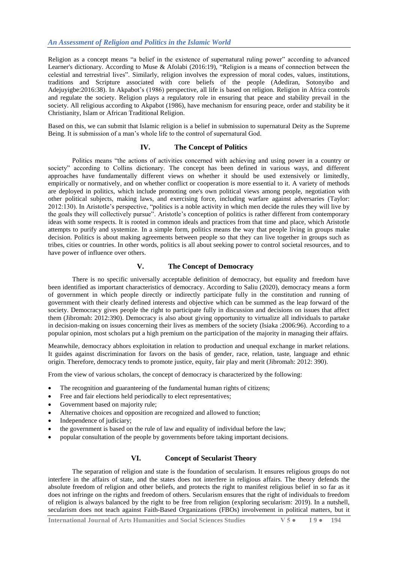Religion as a concept means "a belief in the existence of supernatural ruling power" according to advanced Learner's dictionary. According to Muse & Afolabi (2016:19), "Religion is a means of connection between the celestial and terrestrial lives". Similarly, religion involves the expression of moral codes, values, institutions, traditions and Scripture associated with core beliefs of the people (Adediran, Sotonyibo and Adejuyigbe:2016:38). In Akpabot's (1986) perspective, all life is based on religion. Religion in Africa controls and regulate the society. Religion plays a regulatory role in ensuring that peace and stability prevail in the society. All religious according to Akpabot (1986), have mechanism for ensuring peace, order and stability be it Christianity, Islam or African Traditional Religion.

Based on this, we can submit that Islamic religion is a belief in submission to supernatural Deity as the Supreme Being. It is submission of a man's whole life to the control of supernatural God.

#### **IV. The Concept of Politics**

Politics means "the actions of activities concerned with achieving and using power in a country or society" according to Collins dictionary. The concept has been defined in various ways, and different approaches have fundamentally different views on whether it should be used extensively or limitedly, empirically or normatively, and on whether conflict or cooperation is more essential to it. A variety of methods are deployed in politics, which include promoting one's own political views among people, negotiation with other political subjects, making laws, and exercising force, including warfare against adversaries (Taylor: 2012:130). In Aristotle's perspective, "politics is a noble activity in which men decide the rules they will live by the goals they will collectively pursue". Aristotle's conception of politics is rather different from contemporary ideas with some respects. It is rooted in common ideals and practices from that time and place, which Aristotle attempts to purify and systemize. In a simple form, politics means the way that people living in groups make decision. Politics is about making agreements between people so that they can live together in groups such as tribes, cities or countries. In other words, politics is all about seeking power to control societal resources, and to have power of influence over others.

#### **V. The Concept of Democracy**

There is no specific universally acceptable definition of democracy, but equality and freedom have been identified as important characteristics of democracy. According to Saliu (2020), democracy means a form of government in which people directly or indirectly participate fully in the constitution and running of government with their clearly defined interests and objective which can be summed as the leap forward of the society. Democracy gives people the right to participate fully in discussion and decisions on issues that affect them (Jibromah: 2012:390). Democracy is also about giving opportunity to virtualize all individuals to partake in decision-making on issues concerning their lives as members of the society (Isiaka :2006:96). According to a popular opinion, most scholars put a high premium on the participation of the majority in managing their affairs.

Meanwhile, democracy abhors exploitation in relation to production and unequal exchange in market relations. It guides against discrimination for favors on the basis of gender, race, relation, taste, language and ethnic origin. Therefore, democracy tends to promote justice, equity, fair play and merit (Jibromah: 2012: 390).

From the view of various scholars, the concept of democracy is characterized by the following:

- The recognition and guaranteeing of the fundamental human rights of citizens;
- Free and fair elections held periodically to elect representatives;
- Government based on majority rule;
- Alternative choices and opposition are recognized and allowed to function;
- Independence of judiciary;
- the government is based on the rule of law and equality of individual before the law;
- popular consultation of the people by governments before taking important decisions.

### **VI. Concept of Secularist Theory**

The separation of religion and state is the foundation of secularism. It ensures religious groups do not interfere in the affairs of state, and the states does not interfere in religious affairs. The theory defends the absolute freedom of religion and other beliefs, and protects the right to manifest religious belief in so far as it does not infringe on the rights and freedom of others. Secularism ensures that the right of individuals to freedom of religion is always balanced by the right to be free from religion (exploring secularism: 2019). In a nutshell, secularism does not teach against Faith-Based Organizations (FBOs) involvement in political matters, but it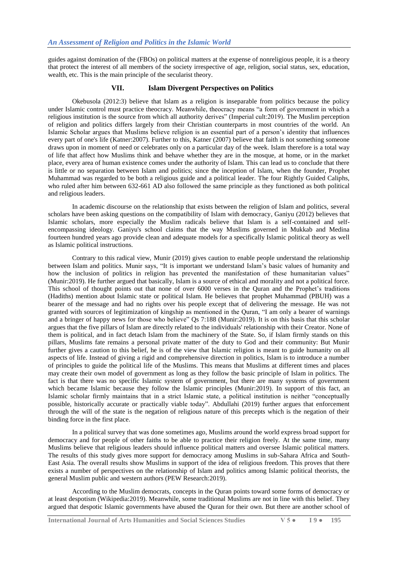guides against domination of the (FBOs) on political matters at the expense of nonreligious people, it is a theory that protect the interest of all members of the society irrespective of age, religion, social status, sex, education, wealth, etc. This is the main principle of the secularist theory.

## **VII. Islam Divergent Perspectives on Politics**

Okebusola (2012:3) believe that Islam as a religion is inseparable from politics because the policy under Islamic control must practice theocracy. Meanwhile, theocracy means "a form of government in which a religious institution is the source from which all authority derives" (Imperial cult:2019). The Muslim perception of religion and politics differs largely from their Christian counterparts in most countries of the world. An Islamic Scholar argues that Muslims believe religion is an essential part of a person's identity that influences every part of one's life (Katner:2007). Further to this, Katner (2007) believe that faith is not something someone draws upon in moment of need or celebrates only on a particular day of the week. Islam therefore is a total way of life that affect how Muslims think and behave whether they are in the mosque, at home, or in the market place, every area of human existence comes under the authority of Islam. This can lead us to conclude that there is little or no separation between Islam and politics; since the inception of Islam, when the founder, Prophet Muhammad was regarded to be both a religious guide and a political leader. The four Rightly Guided Caliphs, who ruled after him between 632-661 AD also followed the same principle as they functioned as both political and religious leaders.

In academic discourse on the relationship that exists between the religion of Islam and politics, several scholars have been asking questions on the compatibility of Islam with democracy, Ganiyu (2012) believes that Islamic scholars, more especially the Muslim radicals believe that Islam is a self-contained and selfencompassing ideology. Ganiyu's school claims that the way Muslims governed in Mukkab and Medina fourteen hundred years ago provide clean and adequate models for a specifically Islamic political theory as well as Islamic political instructions.

Contrary to this radical view, Munir (2019) gives caution to enable people understand the relationship between Islam and politics. Munir says, "It is important we understand Islam's basic values of humanity and how the inclusion of politics in religion has prevented the manifestation of these humanitarian values" (Munir:2019). He further argued that basically, Islam is a source of ethical and morality and not a political force. This school of thought points out that none of over 6000 verses in the Quran and the Prophet's traditions (Hadiths) mention about Islamic state or political Islam. He believes that prophet Muhammad (PBUH) was a bearer of the message and had no rights over his people except that of delivering the message. He was not granted with sources of legitimization of kingship as mentioned in the Quran, "I am only a bearer of warnings and a bringer of happy news for those who believe" Qs 7:188 (Munir:2019). It is on this basis that this scholar argues that the five pillars of Islam are directly related to the individuals' relationship with their Creator. None of them is political, and in fact detach Islam from the machinery of the State. So, if Islam firmly stands on this pillars, Muslims fate remains a personal private matter of the duty to God and their community: But Munir further gives a caution to this belief, he is of the view that Islamic religion is meant to guide humanity on all aspects of life. Instead of giving a rigid and comprehensive direction in politics, Islam is to introduce a number of principles to guide the political life of the Muslims. This means that Muslims at different times and places may create their own model of government as long as they follow the basic principle of Islam in politics. The fact is that there was no specific Islamic system of government, but there are many systems of government which became Islamic because they follow the Islamic principles (Munir:2019). In support of this fact, an Islamic scholar firmly maintains that in a strict Islamic state, a political institution is neither "conceptually possible, historically accurate or practically viable today". Abdullahi (2019) further argues that enforcement through the will of the state is the negation of religious nature of this precepts which is the negation of their binding force in the first place.

In a political survey that was done sometimes ago, Muslims around the world express broad support for democracy and for people of other faiths to be able to practice their religion freely. At the same time, many Muslims believe that religious leaders should influence political matters and oversee Islamic political matters. The results of this study gives more support for democracy among Muslims in sub-Sahara Africa and South-East Asia. The overall results show Muslims in support of the idea of religious freedom. This proves that there exists a number of perspectives on the relationship of Islam and politics among Islamic political theorists, the general Muslim public and western authors (PEW Research:2019).

According to the Muslim democrats, concepts in the Quran points toward some forms of democracy or at least despotism (Wikipedia:2019). Meanwhile, some traditional Muslims are not in line with this belief. They argued that despotic Islamic governments have abused the Quran for their own. But there are another school of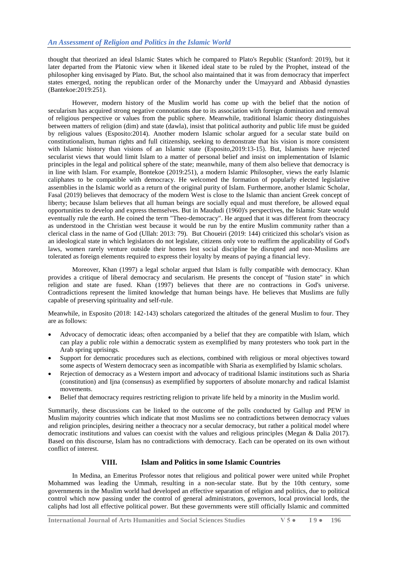thought that theorized an ideal Islamic States which he compared to Plato's Republic (Stanford: 2019), but it later departed from the Platonic view when it likened ideal state to be ruled by the Prophet, instead of the philosopher king envisaged by Plato. But, the school also maintained that it was from democracy that imperfect states emerged, noting the republican order of the Monarchy under the Umayyard and Abbasid dynasties (Bantekoe:2019:251).

However, modern history of the Muslim world has come up with the belief that the notion of secularism has acquired strong negative connotations due to its association with foreign domination and removal of religious perspective or values from the public sphere. Meanwhile, traditional Islamic theory distinguishes between matters of religion (dim) and state (dawla), insist that political authority and public life must be guided by religious values (Esposito:2014). Another modern Islamic scholar argued for a secular state build on constitutionalism, human rights and full citizenship, seeking to demonstrate that his vision is more consistent with Islamic history than visions of an Islamic state (Esposito,2019:13-15). But, Islamists have rejected secularist views that would limit Islam to a matter of personal belief and insist on implementation of Islamic principles in the legal and political sphere of the state; meanwhile, many of them also believe that democracy is in line with Islam. For example, Bontekoe (2019:251), a modern Islamic Philosopher, views the early Islamic caliphates to be compatible with democracy. He welcomed the formation of popularly elected legislative assemblies in the Islamic world as a return of the original purity of Islam. Furthermore, another Islamic Scholar, Fasal (2019) believes that democracy of the modern West is close to the Islamic than ancient Greek concept of liberty; because Islam believes that all human beings are socially equal and must therefore, be allowed equal opportunities to develop and express themselves. But in Maududi (1960)'s perspectives, the Islamic State would eventually rule the earth. He coined the term "Theo-democracy". He argued that it was different from theocracy as understood in the Christian west because it would be run by the entire Muslim community rather than a clerical class in the name of God (Ullah: 2013: 79). But Choueiri (2019: 144) criticized this scholar's vision as an ideological state in which legislators do not legislate, citizens only vote to reaffirm the applicability of God's laws, women rarely venture outside their homes lest social discipline be disrupted and non-Muslims are tolerated as foreign elements required to express their loyalty by means of paying a financial levy.

Moreover, Khan (1997) a legal scholar argued that Islam is fully compatible with democracy. Khan provides a critique of liberal democracy and secularism. He presents the concept of "fusion state" in which religion and state are fused. Khan (1997) believes that there are no contractions in God's universe. Contradictions represent the limited knowledge that human beings have. He believes that Muslims are fully capable of preserving spirituality and self-rule.

Meanwhile, in Esposito (2018: 142-143) scholars categorized the altitudes of the general Muslim to four. They are as follows:

- Advocacy of democratic ideas; often accompanied by a belief that they are compatible with Islam, which can play a public role within a democratic system as exemplified by many protesters who took part in the Arab spring uprisings.
- Support for democratic procedures such as elections, combined with religious or moral objectives toward some aspects of Western democracy seen as incompatible with Sharia as exemplified by Islamic scholars.
- Rejection of democracy as a Western import and advocacy of traditional Islamic institutions such as Sharia (constitution) and Ijna (consensus) as exemplified by supporters of absolute monarchy and radical Islamist movements.
- Belief that democracy requires restricting religion to private life held by a minority in the Muslim world.

Summarily, these discussions can be linked to the outcome of the polls conducted by Gallup and PEW in Muslim majority countries which indicate that most Muslims see no contradictions between democracy values and religion principles, desiring neither a theocracy nor a secular democracy, but rather a political model where democratic institutions and values can coexist with the values and religious principles (Megan & Dalia 2017). Based on this discourse, Islam has no contradictions with democracy. Each can be operated on its own without conflict of interest.

#### **VIII. Islam and Politics in some Islamic Countries**

In Medina, an Emeritus Professor notes that religious and political power were united while Prophet Mohammed was leading the Ummah, resulting in a non-secular state. But by the 10th century, some governments in the Muslim world had developed an effective separation of religion and politics, due to political control which now passing under the control of general administrators, governors, local provincial lords, the caliphs had lost all effective political power. But these governments were still officially Islamic and committed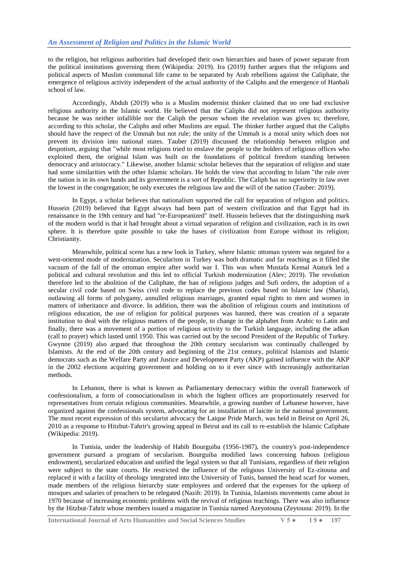to the religion, but religious authorities had developed their own hierarchies and bases of power separate from the political institutions governing them (Wikipedia: 2019). Ira (2019) further argues that the religions and political aspects of Muslim communal life came to be separated by Arab rebellions against the Caliphate, the emergence of religious activity independent of the actual authority of the Caliphs and the emergence of Hanbali school of law.

Accordingly, Abduh (2019) who is a Muslim modernist thinker claimed that no one had exclusive religious authority in the Islamic world. He believed that the Caliphs did not represent religious authority because he was neither infallible nor the Caliph the person whom the revelation was given to; therefore, according to this scholar, the Caliphs and other Muslims are equal. The thinker further argued that the Caliphs should have the respect of the Ummah but not rule; the unity of the Ummah is a moral unity which does not prevent its division into national states. Tauber (2019) discussed the relationship between religion and despotism, arguing that "while most religions tried to enslave the people to the holders of religious offices who exploited them, the original Islam was built on the foundations of political freedom standing between democracy and aristocracy." Likewise, another Islamic scholar believes that the separation of religion and state had some similarities with the other Islamic scholars. He holds the view that according to Islam "the rule over the nation is in its own hands and its government is a sort of Republic. The Caliph has no superiority in law over the lowest in the congregation; he only executes the religious law and the will of the nation (Tauber: 2019).

In Egypt, a scholar believes that nationalism supported the call for separation of religion and politics. Hussein (2019) believed that Egypt always had been part of western civilization and that Egypt had its renaissance in the 19th century and had "re-Europeanized" itself. Hussein believes that the distinguishing mark of the modern world is that it had brought about a virtual separation of religion and civilization, each in its own sphere. It is therefore quite possible to take the bases of civilization from Europe without its religion; Christianity.

Meanwhile, political scene has a new look in Turkey, where Islamic ottoman system was negated for a west-oriented mode of modernization. Secularism in Turkey was both dramatic and far reaching as it filled the vacuum of the fall of the ottoman empire after world war I. This was when Mustafa Kemal Ataturk led a political and cultural revolution and this led to official Turkish modernization (Alev; 2019). The revolution therefore led to the abolition of the Caliphate, the ban of religious judges and Sufi orders, the adoption of a secular civil code based on Swiss civil code to replace the previous codes based on Islamic law (Sharia), outlawing all forms of polygamy, annulled religious marriages, granted equal rights to men and women in matters of inheritance and divorce. In addition, there was the abolition of religious courts and institutions of religious education, the use of religion for political purposes was banned, there was creation of a separate institution to deal with the religious matters of the people, to change in the alphabet from Arabic to Latin and finally, there was a movement of a portion of religious activity to the Turkish language, including the adkan (call to prayer) which lasted until 1950. This was carried out by the second President of the Republic of Turkey. Gwynne (2019) also argued that throughout the 20th century secularism was continually challenged by Islamists. At the end of the 20th century and beginning of the 21st century, political Islamists and Islamic democrats such as the Welfare Party and Justice and Development Party (AKP) gained influence with the AKP in the 2002 elections acquiring government and holding on to it ever since with increasingly authoritarian methods.

In Lebanon, there is what is known as Parliamentary democracy within the overall framework of confessionalism, a form of consociationalism in which the highest offices are proportionately reserved for representatives from certain religious communities. Meanwhile, a growing number of Lebanese however, have organized against the confessionals system, advocating for an installation of laicite in the national government. The most recent expression of this secularist advocacy the Laique Pride March, was held in Beirut on April 26, 2010 as a response to Hitzbut-Tahrir's growing appeal in Beirut and its call to re-establish the Islamic Caliphate (Wikipedia: 2019).

In Tunisia, under the leadership of Habib Bourguiba (1956-1987), the country's post-independence government pursued a program of secularism. Bourguiba modified laws concerning habous (religious endowment), secularized education and unified the legal system so that all Tunisians, regardless of their religion were subject to the state courts. He restricted the influence of the religious University of Ez-zitouna and replaced it with a facility of theology integrated into the University of Tunis, banned the head scarf for women, made members of the religious hierarchy state employees and ordered that the expenses for the upkeep of mosques and salaries of preachers to be relegated (Nazih: 2019). In Tunisia, Islamists movements came about in 1970 because of increasing economic problems with the revival of religious teachings. There was also influence by the Hitzbut-Tahrir whose members issued a magazine in Tunisia named Azeyotouna (Zeytouna: 2019). In the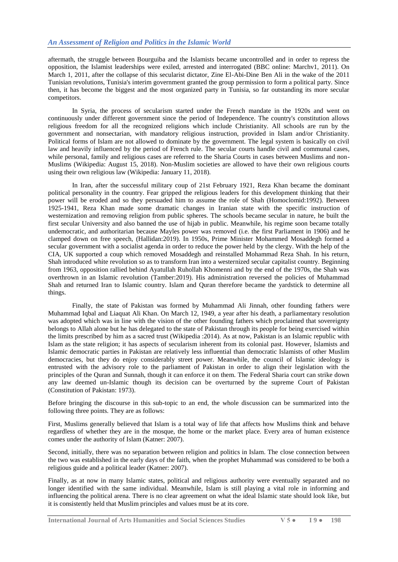aftermath, the struggle between Bourguiba and the Islamists became uncontrolled and in order to repress the opposition, the Islamist leaderships were exiled, arrested and interrogated (BBC online: Marchv1, 2011). On March 1, 2011, after the collapse of this secularist dictator, Zine El-Abi-Dine Ben Ali in the wake of the 2011 Tunisian revolutions, Tunisia's interim government granted the group permission to form a political party. Since then, it has become the biggest and the most organized party in Tunisia, so far outstanding its more secular competitors.

In Syria, the process of secularism started under the French mandate in the 1920s and went on continuously under different government since the period of Independence. The country's constitution allows religious freedom for all the recognized religions which include Christianity. All schools are run by the government and nonsectarian, with mandatory religious instruction, provided in Islam and/or Christianity. Political forms of Islam are not allowed to dominate by the government. The legal system is basically on civil law and heavily influenced by the period of French rule. The secular courts handle civil and communal cases, while personal, family and religious cases are referred to the Sharia Courts in cases between Muslims and non-Muslims (Wikipedia: August 15, 2018). Non-Muslim societies are allowed to have their own religious courts using their own religious law (Wikipedia: January 11, 2018).

In Iran, after the successful military coup of 21st February 1921, Reza Khan became the dominant political personality in the country. Fear gripped the religious leaders for this development thinking that their power will be eroded and so they persuaded him to assume the role of Shah (Homoclomid:1992). Between 1925-1941, Reza Khan made some dramatic changes in Iranian state with the specific instruction of westernization and removing religion from public spheres. The schools became secular in nature, he built the first secular University and also banned the use of hijab in public. Meanwhile, his regime soon became totally undemocratic, and authoritarian because Mayles power was removed (i.e. the first Parliament in 1906) and he clamped down on free speech, (Hallidan:2019). In 1950s, Prime Minister Mohammed Mosaddegh formed a secular government with a socialist agenda in order to reduce the power held by the clergy. With the help of the CIA, UK supported a coup which removed Mosaddegh and reinstalled Mohammad Reza Shah. In his return, Shah introduced white revolution so as to transform Iran into a westernized secular capitalist country. Beginning from 1963, opposition rallied behind Ayatullah Ruhollah Khomenni and by the end of the 1970s, the Shah was overthrown in an Islamic revolution (Tamber:2019). His administration reversed the policies of Muhammad Shah and returned Iran to Islamic country. Islam and Quran therefore became the yardstick to determine all things.

Finally, the state of Pakistan was formed by Muhammad Ali Jinnah, other founding fathers were Muhammad Iqbal and Liaquat Ali Khan. On March 12, 1949, a year after his death, a parliamentary resolution was adopted which was in line with the vision of the other founding fathers which proclaimed that sovereignty belongs to Allah alone but he has delegated to the state of Pakistan through its people for being exercised within the limits prescribed by him as a sacred trust (Wikipedia :2014). As at now, Pakistan is an Islamic republic with Islam as the state religion; it has aspects of secularism inherent from its colonial past. However, Islamists and Islamic democratic parties in Pakistan are relatively less influential than democratic Islamists of other Muslim democracies, but they do enjoy considerably street power. Meanwhile, the council of Islamic ideology is entrusted with the advisory role to the parliament of Pakistan in order to align their legislation with the principles of the Quran and Sunnah, though it can enforce it on them. The Federal Sharia court can strike down any law deemed un-Islamic though its decision can be overturned by the supreme Court of Pakistan (Constitution of Pakistan: 1973).

Before bringing the discourse in this sub-topic to an end, the whole discussion can be summarized into the following three points. They are as follows:

First, Muslims generally believed that Islam is a total way of life that affects how Muslims think and behave regardless of whether they are in the mosque, the home or the market place. Every area of human existence comes under the authority of Islam (Katner: 2007).

Second, initially, there was no separation between religion and politics in Islam. The close connection between the two was established in the early days of the faith, when the prophet Muhammad was considered to be both a religious guide and a political leader (Katner: 2007).

Finally, as at now in many Islamic states, political and religious authority were eventually separated and no longer identified with the same individual. Meanwhile, Islam is still playing a vital role in informing and influencing the political arena. There is no clear agreement on what the ideal Islamic state should look like, but it is consistently held that Muslim principles and values must be at its core.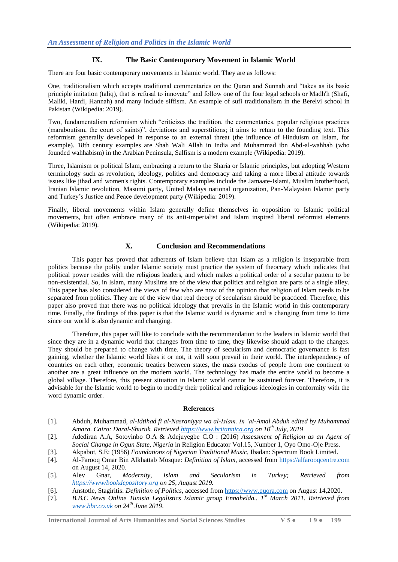## **IX. The Basic Contemporary Movement in Islamic World**

There are four basic contemporary movements in Islamic world. They are as follows:

One, traditionalism which accepts traditional commentaries on the Quran and Sunnah and "takes as its basic principle imitation (taliq), that is refusal to innovate" and follow one of the four legal schools or Madh'h (Shafi, Maliki, Hanfi, Hannah) and many include siffism. An example of sufi traditionalism in the Berelvi school in Pakistan (Wikipedia: 2019).

Two, fundamentalism reformism which "criticizes the tradition, the commentaries, popular religious practices (maraboutism, the court of saints)", deviations and superstitions; it aims to return to the founding text. This reformism generally developed in response to an external threat (the influence of Hinduism on Islam, for example). 18th century examples are Shah Wali Allah in India and Muhammad ibn Abd-al-wahhab (who founded wahhabism) in the Arabian Peninsula, Salfism is a modern example (Wikipedia: 2019).

Three, Islamism or political Islam, embracing a return to the Sharia or Islamic principles, but adopting Western terminology such as revolution, ideology, politics and democracy and taking a more liberal attitude towards issues like jihad and women's rights. Contemporary examples include the Jamaate-Islami, Muslim brotherhood, Iranian Islamic revolution, Masumi party, United Malays national organization, Pan-Malaysian Islamic party and Turkey's Justice and Peace development party (Wikipedia: 2019).

Finally, liberal movements within Islam generally define themselves in opposition to Islamic political movements, but often embrace many of its anti-imperialist and Islam inspired liberal reformist elements (Wikipedia: 2019).

#### **X. Conclusion and Recommendations**

This paper has proved that adherents of Islam believe that Islam as a religion is inseparable from politics because the polity under Islamic society must practice the system of theocracy which indicates that political power resides with the religious leaders, and which makes a political order of a secular pattern to be non-existential. So, in Islam, many Muslims are of the view that politics and religion are parts of a single alley. This paper has also considered the views of few who are now of the opinion that religion of Islam needs to be separated from politics. They are of the view that real theory of secularism should be practiced. Therefore, this paper also proved that there was no political ideology that prevails in the Islamic world in this contemporary time. Finally, the findings of this paper is that the Islamic world is dynamic and is changing from time to time since our world is also dynamic and changing.

Therefore, this paper will like to conclude with the recommendation to the leaders in Islamic world that since they are in a dynamic world that changes from time to time, they likewise should adapt to the changes. They should be prepared to change with time. The theory of secularism and democratic governance is fast gaining, whether the Islamic world likes it or not, it will soon prevail in their world. The interdependency of countries on each other, economic treaties between states, the mass exodus of people from one continent to another are a great influence on the modern world. The technology has made the entire world to become a global village. Therefore, this present situation in Islamic world cannot be sustained forever. Therefore, it is advisable for the Islamic world to begin to modify their political and religious ideologies in conformity with the word dynamic order.

#### **References**

- [1]. Abduh, Muhammad, *al-Idtihad fi al-Nasraniyya wa al-Islam. In "al-Amal Abduh edited by Muhammad Amara. Cairo: Daral-Shuruk. Retrieve[d https://www.britannica.org](https://www.britannica.org/) on 10th July, 2019*
- [2]. Adediran A.A, Sotoyinbo O.A & Adejuyegbe C.O : (2016) *Assessment of Religion as an Agent of Social Change in Ogun State, Nigeria* in Religion Educator Vol.15, Number 1, Oyo Omo-Oje Press.
- [3]. Akpabot, S.E: (1956) *Foundations of Nigerian Traditional Music*, Ibadan: Spectrum Book Limited.
- [4]. Al-Farooq Omar Bin Alkhattab Mosque: *Definition of Islam*, accessed from [https://alfarooqcentre.com](https://alfarooqcentre.com/) on August 14, 2020.
- [5]. Alev Gnar, *Modernity, Islam and Secularism in Turkey; Retrieved from <https://www/bookdepository.org> on 25, August 2019.*
- [6]. Anstotle, Stagiritis: *Definition of Politics*, accessed fro[m https://www.quora.com](https://www.quora.com/) on August 14,2020.
- [7]. *B.B.C News Online Tunisia Legalistics Islamic group Ennahelda.. 1st March 2011. Retrieved from [www.bbc.co.uk](http://www.bbc.co.uk/) on 24th June 2019.*

**International Journal of Arts Humanities and Social Sciences Studies V 5 ● I 9 ● 199**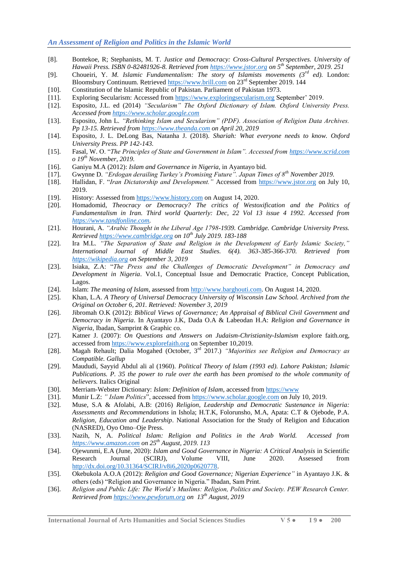- [8]. Bontekoe, R; Stephanists, M. T. *Justice and Democracy: Cross-Cultural Perspectives. University of Hawaii Press. ISBN 0-82481926-8. Retrieved fro[m https://www.jstor.org](https://www.jstor.org/) on 5th September, 2019. 251*
- [9]. Choueiri, Y. *M. Islamic Fundamentalism: The story of Islamists movements (3rd ed).* London: Bloomsbury Continuum. Retrieved [https://www.brill.com](https://www.brill.com/) on 23<sup>rd</sup> September 2019. 144
- [10]. Constitution of the Islamic Republic of Pakistan. Parliament of Pakistan 1973.
- [11]. Exploring Secularism: Accessed from [https://www.exploringsecularism.org](https://www.exploringsecularism.org/) September' 2019.
- [12]. Esposito, J.L. ed (2014) *"Secularism" The Oxford Dictionary of Islam. Oxford University Press. Accessed from [https://www.scholar.google.com](https://www.scholar.google.com/)*
- [13]. Esposito, John L. *"Rethinking Islam and Secularism" (PDF). Association of Religion Data Archives. Pp 13-15. Retrieved from [https://www.theanda.com](https://www.theanda.com/) on April 20, 2019*
- [14]. Esposito, J. L. DeLong Bas, Natanha J. (2018). *Shariah: What everyone needs to know. Oxford University Press. PP 142-143.*
- [15]. Fasal, W. O. "*The Principles of State and Government in Islam". Accessed from [https://www.scrid.com](https://www.scrid.com/) o 19th November, 2019.*
- [16]. Ganiyu M.A (2012): *Islam and Governance in Nigeria*, in Ayantayo bid.
- [17]. Gwynne D. *"Erdogan derailing Turkey"s Promising Future". Japan Times of 8th November 2019.*
- [18]. Hallidan, F. "*Iran Dictatorship and Development."* Accessed from [https://www.jstor.org](https://www.jstor.org/) on July 10, 2019.
- [19]. History: Assessed from [https://www.history.com](https://www.history.com/) on August 14, 2020.
- [20]. Homadomid*, Theocracy or Democracy? The critics of Westoxification and the Politics of Fundamentalism in Iran. Third world Quarterly: Dec, 22 Vol 13 issue 4 1992. Accessed from [https://www.tandfonline.com.](https://www.tandfonline.com/)*
- [21]. Hourani, A. *"Arabic Thought in the Liberal Age 1798-1939. Cambridge. Cambridge University Press. Retrieved [https://www.cambridge.org](https://www.cambridge.org/) on 10th July 2019. 183-188*
- [22]. Ira M.L. *"The Separation of State and Religion in the Development of Early Islamic Society," International Journal of Middle East Studies. 6(4). 363-385-366-370. Retrieved from [https://wikipedia.org](https://wikipedia.org/) on September 3, 2019*
- [23]. Isiaka, Z.A: "*The Press and the Challenges of Democratic Development" in Democracy and Development in Nigeria*. Vol.1, Conceptual Issue and Democratic Practice, Concept Publication, Lagos.
- [24]. Islam: *The meaning of Islam*, assessed from [http://www.barghouti.com.](http://www.barghouti.com/) On August 14, 2020.
- [25]. Khan, L.A. *A Theory of Universal Democracy University of Wisconsin Law School. Archived from the Original on October 6, 201. Retrieved: November 3, 2019*
- [26]. Jibromah O.K (2012): *Biblical Views of Governance; An Appraisal of Biblical Civil Government and Democracy in Nigeria*. In Ayantayo J.K, Dada O.A & Labeodan H.A: *Religion and Governance in Nigeria*, Ibadan, Samprint & Graphic co.
- [27]. Katner J. (2007): *On Questions and Answers on Judaism-Christianity-Islamism* explore faith.org, accessed from [https://www.explorefaith.org](https://www.explorefaith.org/) on September 10,2019.
- [28]. Magah Rehault; Dalia Mogahed (October, 3rd 2017.) *"Majorities see Religion and Democracy as Compatible. Gallup*
- [29]. Maududi, Sayyid Abdul ali al (1960). *Political Theory of Islam (1993 ed). Lahore Pakistan; Islamic Publications. P. 35 the power to rule over the earth has been promised to the whole community of believers.* Italics Original
- [30]. Merriam-Webster Dictionary: *Islam: Definition of Islam*, accessed from [https://www](https://www/)
- [31]. Munir L.Z: *" Islam Politics*", accessed fro[m https://www.scholar.google.com](https://www.scholar.google.com/) on July 10, 2019.
- [32]. Muse, S.A & Afolabi, A.B: (2016) *Religion, Leadership and Democratic Sustenance in Nigeria: Assessments and Recommendations* in Ishola; H.T.K, Folorunsho, M.A, Apata: C.T & Ojebode, P.A. *Religion, Education and Leadership*. National Association for the Study of Religion and Education (NASRED), Oyo Omo–Oje Press.
- [33]. Nazih, N, A. *Political Islam: Religion and Politics in the Arab World. Accessed from [https://www.amazon.com](https://www.amazon.com/) on 25th August, 2019. 113*
- [34]. Ojewunmi, E.A (June, 2020): *Islam and Good Governance in Nigeria: A Critical Analysis* in Scientific Research Journal (SCIRJ), Volume VIII, June 2020. Assessed from [http://dx.doi.org/10.31364/SCIRJ/v8i6,2020p0620778.](http://dx.doi.org/10.31364/SCIRJ/v8i6,2020p0620778)
- [35]. Okebukola A.O.A (2012): *Religion and Good Governance; Nigerian Experience"* in Ayantayo J.K. & others (eds) "Religion and Governance in Nigeria." Ibadan, Sam Print.
- [36]. *Religion and Public Life: The World"s Muslims: Religion, Politics and Society. PEW Research Center. Retrieved from [https://www.pewforum.org](https://www.pewforum.org/) on 13th August, 2019*